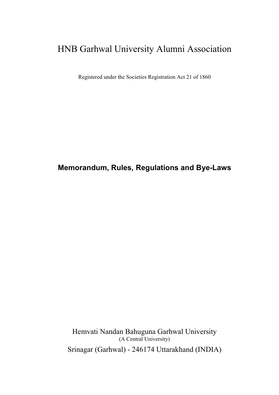# HNB Garhwal University Alumni Association

Registered under the Societies Registration Act 21 of 1860

## Memorandum, Rules, Regulations and Bye-Laws

Hemvati Nandan Bahuguna Garhwal University (A Central University) Srinagar (Garhwal) - 246174 Uttarakhand (INDIA)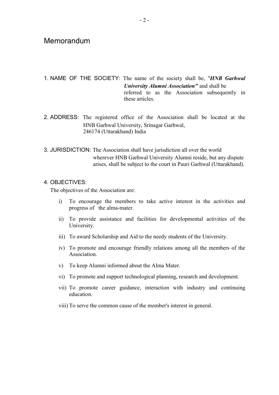## **Memorandum**

1. NAME OF THE SOCIETY: The name of the society shall be, "HNB Garhwal University Alumni Association" and shall be referred to as the Association subsequently in these articles.

- 2. ADDRESS: The registered office of the Association shall be located at the HNB Garhwal University, Srinagar Garhwal, 246174 (Uttarakhand) India
- 3. JURISDICTION: The Association shall have jurisdiction all over the world wherever HNB Garhwal University Alumni reside, but any dispute arises, shall be subject to the court in Pauri Garhwal (Uttarakhand).

### 4. OBJECTIVES:

The objectives of the Association are:

- i) To encourage the members to take active interest in the activities and progress of the alma-mater.
- ii) To provide assistance and facilities for developmental activities of the University.
- iii) To award Scholarship and Aid to the needy students of the University.
- iv) To promote and encourage friendly relations among all the members of the Association.
- v) To keep Alumni informed about the Alma Mater.
- vi) To promote and support technological planning, research and development.
- vii) To promote career guidance, interaction with industry and continuing education.
- viii) To serve the common cause of the member's interest in general.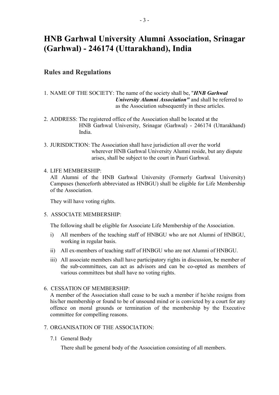# HNB Garhwal University Alumni Association, Srinagar (Garhwal) - 246174 (Uttarakhand), India

## Rules and Regulations

- 1. NAME OF THE SOCIETY: The name of the society shall be, "*HNB Garhwal*  University Alumni Association" and shall be referred to as the Association subsequently in these articles.
- 2. ADDRESS: The registered office of the Association shall be located at the HNB Garhwal University, Srinagar (Garhwal) - 246174 (Uttarakhand) India.
- 3. JURISDICTION: The Association shall have jurisdiction all over the world wherever HNB Garhwal University Alumni reside, but any dispute arises, shall be subject to the court in Pauri Garhwal.

## 4. LIFE MEMBERSHIP:

All Alumni of the HNB Garhwal University (Formerly Garhwal University) Campuses (henceforth abbreviated as HNBGU) shall be eligible for Life Membership of the Association.

They will have voting rights.

## 5. ASSOCIATE MEMBERSHIP:

The following shall be eligible for Associate Life Membership of the Association.

- i) All members of the teaching staff of HNBGU who are not Alumni of HNBGU, working in regular basis.
- ii) All ex-members of teaching staff of HNBGU who are not Alumni of HNBGU.
- iii) All associate members shall have participatory rights in discussion, be member of the sub-committees, can act as advisors and can be co-opted as members of various committees but shall have no voting rights.

## 6. CESSATION OF MEMBERSHIP:

A member of the Association shall cease to be such a member if he/she resigns from his/her membership or found to be of unsound mind or is convicted by a court for any offence on moral grounds or termination of the membership by the Executive committee for compelling reasons.

- 7. ORGANISATION OF THE ASSOCIATION:
	- 7.1 General Body

There shall be general body of the Association consisting of all members.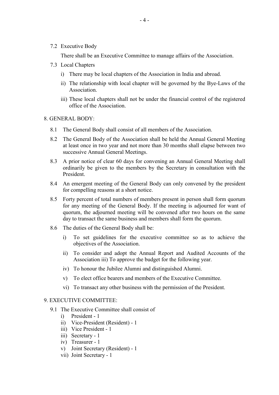7.2 Executive Body

There shall be an Executive Committee to manage affairs of the Association.

- 7.3 Local Chapters
	- i) There may be local chapters of the Association in India and abroad.
	- ii) The relationship with local chapter will be governed by the Bye-Laws of the Association.
	- iii) These local chapters shall not be under the financial control of the registered office of the Association.

#### 8. GENERAL BODY:

- 8.1 The General Body shall consist of all members of the Association.
- 8.2 The General Body of the Association shall be held the Annual General Meeting at least once in two year and not more than 30 months shall elapse between two successive Annual General Meetings.
- 8.3 A prior notice of clear 60 days for convening an Annual General Meeting shall ordinarily be given to the members by the Secretary in consultation with the President.
- 8.4 An emergent meeting of the General Body can only convened by the president for compelling reasons at a short notice.
- 8.5 Forty percent of total numbers of members present in person shall form quorum for any meeting of the General Body. If the meeting is adjourned for want of quorum, the adjourned meeting will be convened after two hours on the same day to transact the same business and members shall form the quorum.
- 8.6 The duties of the General Body shall be:
	- i) To set guidelines for the executive committee so as to achieve the objectives of the Association.
	- ii) To consider and adopt the Annual Report and Audited Accounts of the Association iii) To approve the budget for the following year.
	- iv) To honour the Jubilee Alumni and distinguished Alumni.
	- v) To elect office bearers and members of the Executive Committee.
	- vi) To transact any other business with the permission of the President.

## 9. EXECUTIVE COMMITTEE:

- 9.1 The Executive Committee shall consist of
	- i) President 1
	- ii) Vice-President (Resident) 1
	- iii) Vice President 1
	- iii) Secretary 1
	- iv) Treasurer 1
	- v) Joint Secretary (Resident) 1
	- vii) Joint Secretary 1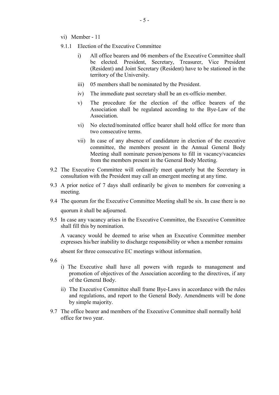- vi) Member 11
- 9.1.1 Election of the Executive Committee
	- i) All office bearers and 06 members of the Executive Committee shall be elected. President, Secretary, Treasurer, Vice President (Resident) and Joint Secretary (Resident) have to be stationed in the territory of the University.
	- iii) 05 members shall be nominated by the President.
	- iv) The immediate past secretary shall be an ex-officio member.
	- v) The procedure for the election of the office bearers of the Association shall be regulated according to the Bye-Law of the Association.
	- vi) No elected/nominated office bearer shall hold office for more than two consecutive terms.
	- vii) In case of any absence of candidature in election of the executive committee, the members present in the Annual General Body Meeting shall nominate person/persons to fill in vacancy/vacancies from the members present in the General Body Meeting.
- 9.2 The Executive Committee will ordinarily meet quarterly but the Secretary in consultation with the President may call an emergent meeting at any time.
- 9.3 A prior notice of 7 days shall ordinarily be given to members for convening a meeting.
- 9.4 The quorum for the Executive Committee Meeting shall be six. In case there is no quorum it shall be adjourned.
- 9.5 In case any vacancy arises in the Executive Committee, the Executive Committee shall fill this by nomination.

 A vacancy would be deemed to arise when an Executive Committee member expresses his/her inability to discharge responsibility or when a member remains

absent for three consecutive EC meetings without information.

9.6

- i) The Executive shall have all powers with regards to management and promotion of objectives of the Association according to the directives, if any of the General Body.
- ii) The Executive Committee shall frame Bye-Laws in accordance with the rules and regulations, and report to the General Body. Amendments will be done by simple majority.
- 9.7 The office bearer and members of the Executive Committee shall normally hold office for two year.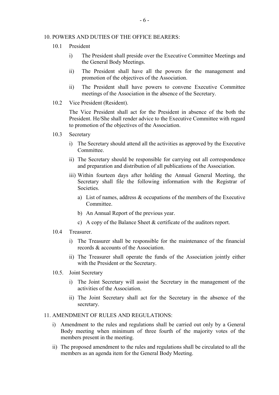#### 10. POWERS AND DUTIES OF THE OFFICE BEARERS:

- 10.1 President
	- i) The President shall preside over the Executive Committee Meetings and the General Body Meetings.
	- ii) The President shall have all the powers for the management and promotion of the objectives of the Association.
	- ii) The President shall have powers to convene Executive Committee meetings of the Association in the absence of the Secretary.
- 10.2 Vice President (Resident).

 The Vice President shall act for the President in absence of the both the President. He/She shall render advice to the Executive Committee with regard to promotion of the objectives of the Association.

- 10.3 Secretary
	- i) The Secretary should attend all the activities as approved by the Executive Committee.
	- ii) The Secretary should be responsible for carrying out all correspondence and preparation and distribution of all publications of the Association.
	- iii) Within fourteen days after holding the Annual General Meeting, the Secretary shall file the following information with the Registrar of Societies.
		- a) List of names, address & occupations of the members of the Executive Committee.
		- b) An Annual Report of the previous year.
		- c) A copy of the Balance Sheet & certificate of the auditors report.
- 10.4 Treasurer.
	- i) The Treasurer shall be responsible for the maintenance of the financial records & accounts of the Association.
	- ii) The Treasurer shall operate the funds of the Association jointly either with the President or the Secretary.
- 10.5. Joint Secretary
	- i) The Joint Secretary will assist the Secretary in the management of the activities of the Association.
	- ii) The Joint Secretary shall act for the Secretary in the absence of the secretary.

### 11. AMENDMENT OF RULES AND REGULATIONS:

- i) Amendment to the rules and regulations shall be carried out only by a General Body meeting when minimum of three fourth of the majority votes of the members present in the meeting.
- ii) The proposed amendment to the rules and regulations shall be circulated to all the members as an agenda item for the General Body Meeting.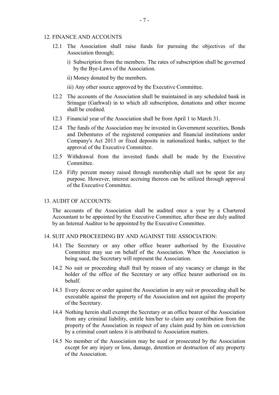#### 12. FINANCE AND ACCOUNTS

- 12.1 The Association shall raise funds for pursuing the objectives of the Association through;
	- i) Subscription from the members. The rates of subscription shall be governed by the Bye-Laws of the Association.
	- ii) Money donated by the members.
	- iii) Any other source approved by the Executive Committee.
- 12.2 The accounts of the Association shall be maintained in any scheduled bank in Srinagar (Garhwal) in to which all subscription, donations and other income shall be credited.
- 12.3 Financial year of the Association shall be from April 1 to March 31.
- 12.4 The funds of the Association may be invested in Government securities, Bonds and Debentures of the registered companies and financial institutions under Company's Act 2013 or fixed deposits in nationalized banks, subject to the approval of the Executive Committee.
- 12.5 Withdrawal from the invested funds shall be made by the Executive Committee.
- 12.6 Fifty percent money raised through membership shall not be spent for any purpose. However, interest accruing thereon can be utilized through approval of the Executive Committee.

### 13. AUDIT OF ACCOUNTS:

The accounts of the Association shall be audited once a year by a Chartered Accountant to be appointed by the Executive Committee, after these are duly audited by an Internal Auditor to be appointed by the Executive Committee.

#### 14. SUIT AND PROCEEDING BY AND AGAINST THE ASSOCIATION:

- 14.1 The Secretary or any other office bearer authorised by the Executive Committee may sue on behalf of the Association. When the Association is being sued, the Secretary will represent the Association.
- 14.2 No suit or proceeding shall frail by reason of any vacancy or change in the holder of the office of the Secretary or any office bearer authorised on its behalf.
- 14.3 Every decree or order against the Association in any suit or proceeding shall be executable against the property of the Association and not against the property of the Secretary.
- 14.4 Nothing herein shall exempt the Secretary or an office bearer of the Association from any criminal liability, entitle him/her to claim any contribution from the property of the Association in respect of any claim paid by him on conviction by a criminal court unless it is attributed to Association matters.
- 14.5 No member of the Association may be sued or prosecuted by the Association except for any injury or loss, damage, detention or destruction of any property of the Association.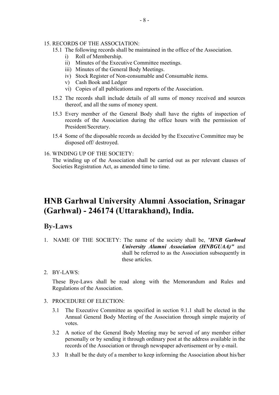#### 15. RECORDS OF THE ASSOCIATION:

- 15.1 The following records shall be maintained in the office of the Association.
	- i) Roll of Membership.
	- ii) Minutes of the Executive Committee meetings.
	- iii) Minutes of the General Body Meetings.
	- iv) Stock Register of Non-consumable and Consumable items.
	- v) Cash Book and Ledger
	- vi) Copies of all publications and reports of the Association.
- 15.2 The records shall include details of all sums of money received and sources thereof, and all the sums of money spent.
- 15.3 Every member of the General Body shall have the rights of inspection of records of the Association during the office hours with the permission of President/Secretary.
- 15.4 Some of the disposable records as decided by the Executive Committee may be disposed off/ destroyed.

### 16. WINDING UP OF THE SOCIETY:

 The winding up of the Association shall be carried out as per relevant clauses of Societies Registration Act, as amended time to time.

## HNB Garhwal University Alumni Association, Srinagar (Garhwal) - 246174 (Uttarakhand), India.

## By-Laws

- 1. NAME OF THE SOCIETY: The name of the society shall be, "HNB Garhwal University Alumni Association (HNBGUAA)" and shall be referred to as the Association subsequently in these articles.
- 2. BY-LAWS:

These Bye-Laws shall be read along with the Memorandum and Rules and Regulations of the Association.

### 3. PROCEDURE OF ELECTION:

- 3.1 The Executive Committee as specified in section 9.1.1 shall be elected in the Annual General Body Meeting of the Association through simple majority of votes.
- 3.2 A notice of the General Body Meeting may be served of any member either personally or by sending it through ordinary post at the address available in the records of the Association or through newspaper advertisement or by e-mail.
- 3.3 It shall be the duty of a member to keep informing the Association about his/her